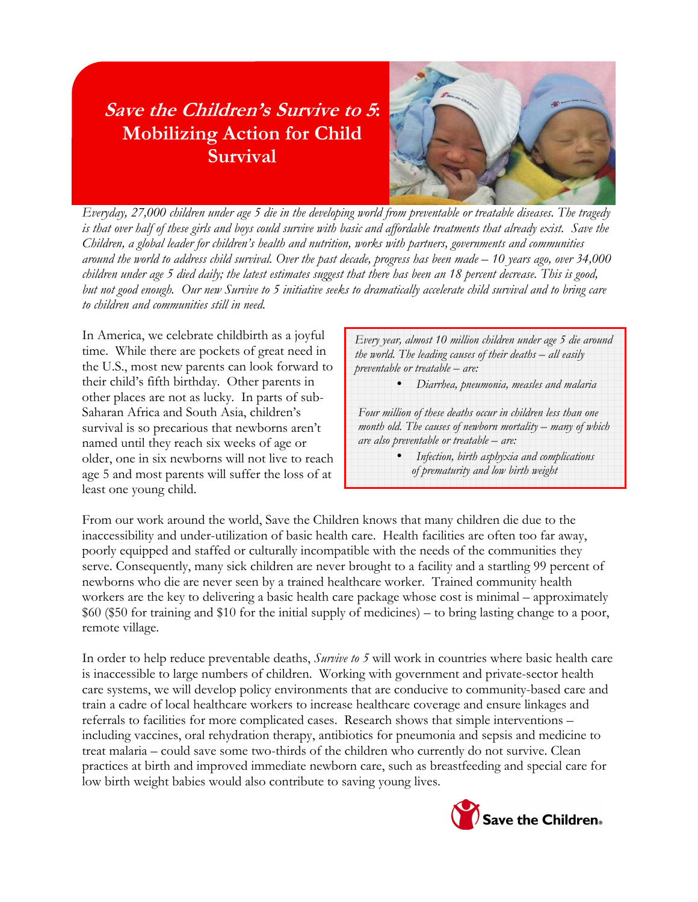# Save the Children's Survive to 5: Mobilizing Action for Child **Survival**



Everyday, 27,000 children under age 5 die in the developing world from preventable or treatable diseases. The tragedy is that over half of these girls and boys could survive with basic and affordable treatments that already exist. Save the Children, a global leader for children's health and nutrition, works with partners, governments and communities around the world to address child survival. Over the past decade, progress has been made – 10 years ago, over 34,000 children under age 5 died daily; the latest estimates suggest that there has been an 18 percent decrease. This is good, but not good enough. Our new Survive to 5 initiative seeks to dramatically accelerate child survival and to bring care to children and communities still in need.

In America, we celebrate childbirth as a joyful time. While there are pockets of great need in the U.S., most new parents can look forward to their child's fifth birthday. Other parents in other places are not as lucky. In parts of sub-Saharan Africa and South Asia, children's survival is so precarious that newborns aren't named until they reach six weeks of age or older, one in six newborns will not live to reach age 5 and most parents will suffer the loss of at least one young child.

Every year, almost 10 million children under age 5 die around the world. The leading causes of their deaths – all easily preventable or treatable – are:

• Diarrhea, pneumonia, measles and malaria

Four million of these deaths occur in children less than one month old. The causes of newborn mortality – many of which are also preventable or treatable – are:

> • Infection, birth asphyxia and complications of prematurity and low birth weight

From our work around the world, Save the Children knows that many children die due to the inaccessibility and under-utilization of basic health care. Health facilities are often too far away, poorly equipped and staffed or culturally incompatible with the needs of the communities they serve. Consequently, many sick children are never brought to a facility and a startling 99 percent of newborns who die are never seen by a trained healthcare worker. Trained community health workers are the key to delivering a basic health care package whose cost is minimal – approximately \$60 (\$50 for training and \$10 for the initial supply of medicines) – to bring lasting change to a poor, remote village.

In order to help reduce preventable deaths, *Survive to 5* will work in countries where basic health care is inaccessible to large numbers of children. Working with government and private-sector health care systems, we will develop policy environments that are conducive to community-based care and train a cadre of local healthcare workers to increase healthcare coverage and ensure linkages and referrals to facilities for more complicated cases. Research shows that simple interventions – including vaccines, oral rehydration therapy, antibiotics for pneumonia and sepsis and medicine to treat malaria – could save some two-thirds of the children who currently do not survive. Clean practices at birth and improved immediate newborn care, such as breastfeeding and special care for low birth weight babies would also contribute to saving young lives.

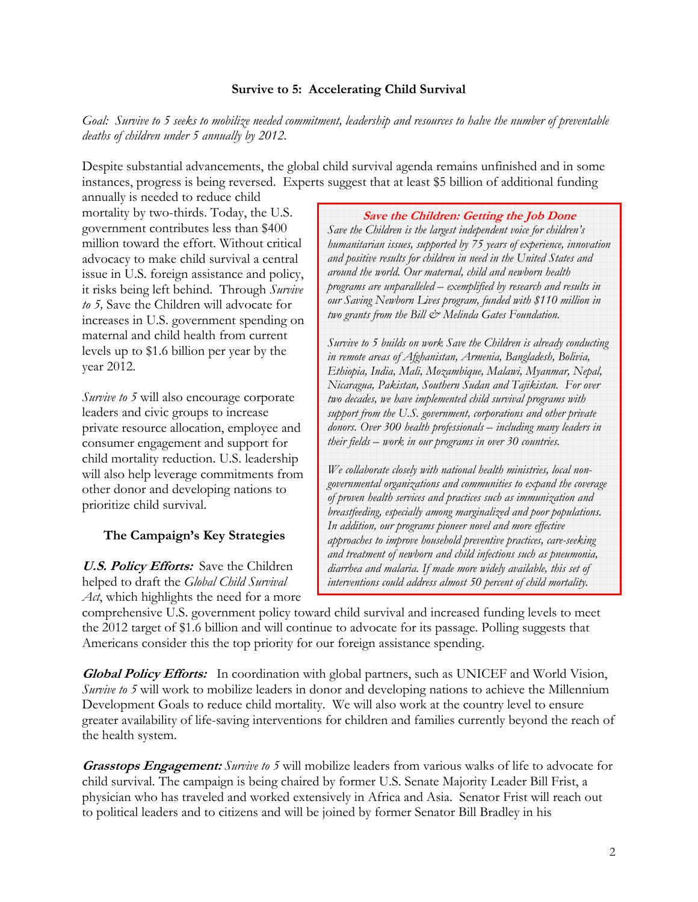#### Survive to 5: Accelerating Child Survival

Goal: Survive to 5 seeks to mobilize needed commitment, leadership and resources to halve the number of preventable deaths of children under 5 annually by 2012.

Despite substantial advancements, the global child survival agenda remains unfinished and in some instances, progress is being reversed. Experts suggest that at least \$5 billion of additional funding

annually is needed to reduce child mortality by two-thirds. Today, the U.S. government contributes less than \$400 million toward the effort. Without critical advocacy to make child survival a central issue in U.S. foreign assistance and policy, it risks being left behind. Through Survive to 5, Save the Children will advocate for increases in U.S. government spending on maternal and child health from current levels up to \$1.6 billion per year by the year 2012.

Survive to 5 will also encourage corporate leaders and civic groups to increase private resource allocation, employee and consumer engagement and support for child mortality reduction. U.S. leadership will also help leverage commitments from other donor and developing nations to prioritize child survival.

### The Campaign's Key Strategies

U.S. Policy Efforts: Save the Children helped to draft the Global Child Survival  $Act$ , which highlights the need for a more

Save the Children: Getting the Job Done Save the Children is the largest independent voice for children's humanitarian issues, supported by 75 years of experience, innovation and positive results for children in need in the United States and around the world. Our maternal, child and newborn health programs are unparalleled – exemplified by research and results in our Saving Newborn Lives program, funded with \$110 million in two grants from the Bill  $\dot{\mathcal{C}}^*$  Melinda Gates Foundation.

Survive to 5 builds on work Save the Children is already conducting in remote areas of Afghanistan, Armenia, Bangladesh, Bolivia, Ethiopia, India, Mali, Mozambique, Malawi, Myanmar, Nepal, Nicaragua, Pakistan, Southern Sudan and Tajikistan. For over two decades, we have implemented child survival programs with support from the U.S. government, corporations and other private donors. Over 300 health professionals – including many leaders in their fields – work in our programs in over 30 countries.

We collaborate closely with national health ministries, local nongovernmental organizations and communities to expand the coverage of proven health services and practices such as immunization and breastfeeding, especially among marginalized and poor populations. In addition, our programs pioneer novel and more effective approaches to improve household preventive practices, care-seeking and treatment of newborn and child infections such as pneumonia, diarrhea and malaria. If made more widely available, this set of interventions could address almost 50 percent of child mortality.

comprehensive U.S. government policy toward child survival and increased funding levels to meet the 2012 target of \$1.6 billion and will continue to advocate for its passage. Polling suggests that Americans consider this the top priority for our foreign assistance spending.

**Global Policy Efforts:** In coordination with global partners, such as UNICEF and World Vision, Survive to 5 will work to mobilize leaders in donor and developing nations to achieve the Millennium Development Goals to reduce child mortality. We will also work at the country level to ensure greater availability of life-saving interventions for children and families currently beyond the reach of the health system.

**Grasstops Engagement:** Survive to 5 will mobilize leaders from various walks of life to advocate for child survival. The campaign is being chaired by former U.S. Senate Majority Leader Bill Frist, a physician who has traveled and worked extensively in Africa and Asia. Senator Frist will reach out to political leaders and to citizens and will be joined by former Senator Bill Bradley in his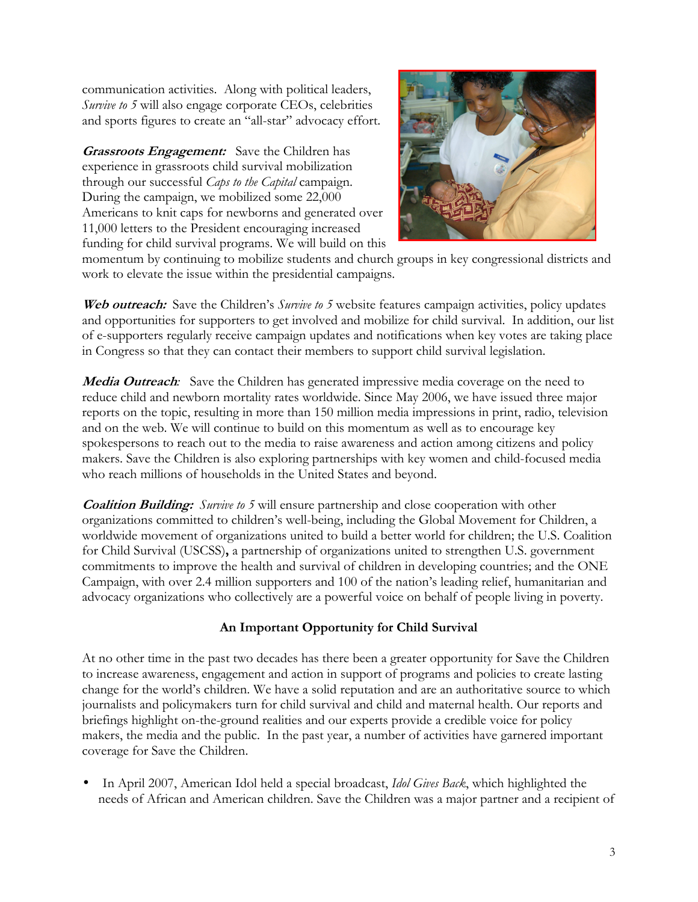communication activities. Along with political leaders, Survive to 5 will also engage corporate CEOs, celebrities and sports figures to create an "all-star" advocacy effort.

**Grassroots Engagement:** Save the Children has experience in grassroots child survival mobilization through our successful Caps to the Capital campaign. During the campaign, we mobilized some 22,000 Americans to knit caps for newborns and generated over 11,000 letters to the President encouraging increased funding for child survival programs. We will build on this



momentum by continuing to mobilize students and church groups in key congressional districts and work to elevate the issue within the presidential campaigns.

Web outreach: Save the Children's Survive to 5 website features campaign activities, policy updates and opportunities for supporters to get involved and mobilize for child survival. In addition, our list of e-supporters regularly receive campaign updates and notifications when key votes are taking place in Congress so that they can contact their members to support child survival legislation.

**Media Outreach:** Save the Children has generated impressive media coverage on the need to reduce child and newborn mortality rates worldwide. Since May 2006, we have issued three major reports on the topic, resulting in more than 150 million media impressions in print, radio, television and on the web. We will continue to build on this momentum as well as to encourage key spokespersons to reach out to the media to raise awareness and action among citizens and policy makers. Save the Children is also exploring partnerships with key women and child-focused media who reach millions of households in the United States and beyond.

**Coalition Building:** Survive to 5 will ensure partnership and close cooperation with other organizations committed to children's well-being, including the Global Movement for Children, a worldwide movement of organizations united to build a better world for children; the U.S. Coalition for Child Survival (USCSS), a partnership of organizations united to strengthen U.S. government commitments to improve the health and survival of children in developing countries; and the ONE Campaign, with over 2.4 million supporters and 100 of the nation's leading relief, humanitarian and advocacy organizations who collectively are a powerful voice on behalf of people living in poverty.

### An Important Opportunity for Child Survival

At no other time in the past two decades has there been a greater opportunity for Save the Children to increase awareness, engagement and action in support of programs and policies to create lasting change for the world's children. We have a solid reputation and are an authoritative source to which journalists and policymakers turn for child survival and child and maternal health. Our reports and briefings highlight on-the-ground realities and our experts provide a credible voice for policy makers, the media and the public. In the past year, a number of activities have garnered important coverage for Save the Children.

In April 2007, American Idol held a special broadcast, Idol Gives Back, which highlighted the needs of African and American children. Save the Children was a major partner and a recipient of